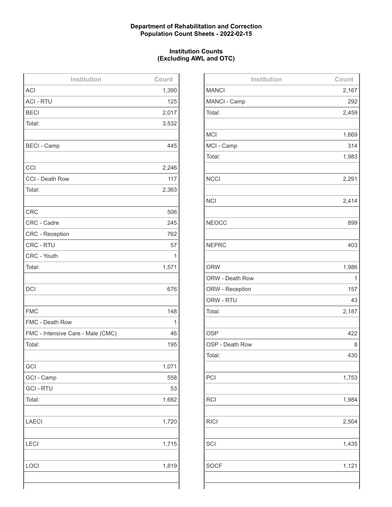## **Department of Rehabilitation and Correction Population Count Sheets - 2022-02-15**

## **Institution Counts (Excluding AWL and OTC)**

| Institution                       | Count |
|-----------------------------------|-------|
| <b>ACI</b>                        | 1,390 |
| <b>ACI - RTU</b>                  | 125   |
| <b>BECI</b>                       | 2,017 |
| Total:                            | 3,532 |
|                                   |       |
| <b>BECI - Camp</b>                | 445   |
|                                   |       |
| CCI                               | 2,246 |
| CCI - Death Row                   | 117   |
| Total:                            | 2,363 |
|                                   |       |
| <b>CRC</b>                        | 506   |
| CRC - Cadre                       | 245   |
| <b>CRC</b> - Reception            | 762   |
| CRC - RTU                         | 57    |
| CRC - Youth                       | 1     |
| Total:                            | 1,571 |
|                                   |       |
| <b>DCI</b>                        | 676   |
|                                   |       |
| <b>FMC</b>                        | 148   |
| FMC - Death Row                   | 1     |
| FMC - Intensive Care - Male (CMC) | 46    |
| Total:                            | 195   |
|                                   |       |
| GCI                               | 1,071 |
| GCI - Camp                        | 558   |
| <b>GCI - RTU</b>                  | 53    |
| Total:                            | 1,682 |
|                                   |       |
| <b>LAECI</b>                      | 1,720 |
|                                   |       |
| <b>LECI</b>                       | 1,715 |
|                                   |       |
| LOCI                              | 1,819 |
|                                   |       |
|                                   |       |

| Institution     | Count |
|-----------------|-------|
| <b>MANCI</b>    | 2,167 |
| MANCI - Camp    | 292   |
| Total:          | 2,459 |
|                 |       |
| <b>MCI</b>      | 1,669 |
| MCI - Camp      | 314   |
| Total:          | 1,983 |
|                 |       |
| <b>NCCI</b>     | 2,291 |
|                 |       |
| <b>NCI</b>      | 2,414 |
|                 |       |
| <b>NEOCC</b>    | 899   |
|                 |       |
| <b>NEPRC</b>    | 403   |
|                 |       |
| <b>ORW</b>      | 1,986 |
| ORW - Death Row | 1     |
| ORW - Reception | 157   |
| ORW - RTU       | 43    |
| Total:          | 2,187 |
|                 |       |
| <b>OSP</b>      | 422   |
| OSP - Death Row | 8     |
| Total:          | 430   |
|                 |       |
| PCI             | 1,753 |
|                 |       |
| <b>RCI</b>      | 1,984 |
|                 |       |
| <b>RICI</b>     | 2,504 |
|                 |       |
| SCI             | 1,435 |
|                 |       |
| <b>SOCF</b>     | 1,121 |
|                 |       |
|                 |       |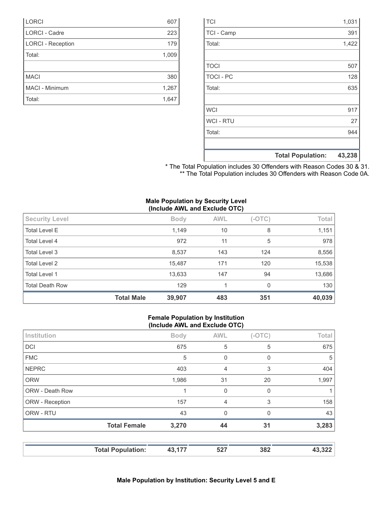|                  | <b>Total Population:</b> | 43,238 |
|------------------|--------------------------|--------|
|                  |                          |        |
| Total:           |                          | 944    |
| <b>WCI-RTU</b>   |                          | 27     |
| <b>WCI</b>       |                          | 917    |
|                  |                          |        |
| Total:           |                          | 635    |
| <b>TOCI - PC</b> |                          | 128    |
| <b>TOCI</b>      |                          | 507    |
|                  |                          |        |
| Total:           |                          | 1,422  |
| TCI - Camp       |                          | 391    |
| <b>TCI</b>       |                          | 1,031  |

\* The Total Population includes 30 Offenders with Reason Codes 30 & 31. \*\* The Total Population includes 30 Offenders with Reason Code 0A.

|  |  | <b>Male Population by Security Level</b> |  |
|--|--|------------------------------------------|--|
|  |  | (Include AWL and Exclude OTC)            |  |

| <b>Security Level</b>  |                   | <b>Body</b> | <b>AWL</b> | $(-OTC)$ | Total  |
|------------------------|-------------------|-------------|------------|----------|--------|
| <b>Total Level E</b>   |                   | 1,149       | 10         | 8        | 1,151  |
| Total Level 4          |                   | 972         | 11         | 5        | 978    |
| Total Level 3          |                   | 8,537       | 143        | 124      | 8,556  |
| <b>Total Level 2</b>   |                   | 15,487      | 171        | 120      | 15,538 |
| <b>Total Level 1</b>   |                   | 13,633      | 147        | 94       | 13,686 |
| <b>Total Death Row</b> |                   | 129         | 1          | $\Omega$ | 130    |
|                        | <b>Total Male</b> | 39,907      | 483        | 351      | 40,039 |

### **Female Population by Institution (Include AWL and Exclude OTC)**

|                 | <b>Total Female</b> | 3,270       | 44             | 31       | 3,283 |
|-----------------|---------------------|-------------|----------------|----------|-------|
| ORW - RTU       |                     | 43          | $\mathbf 0$    | $\Omega$ | 43    |
| ORW - Reception |                     | 157         | $\overline{4}$ | 3        | 158   |
| ORW - Death Row |                     |             | 0              | $\Omega$ |       |
| <b>ORW</b>      |                     | 1,986       | 31             | 20       | 1,997 |
| <b>NEPRC</b>    |                     | 403         | $\overline{4}$ | 3        | 404   |
| <b>FMC</b>      |                     | 5           | $\mathbf 0$    | 0        | 5     |
| <b>DCI</b>      |                     | 675         | 5              | 5        | 675   |
| Institution     |                     | <b>Body</b> | <b>AWL</b>     | $(-OTC)$ | Total |

| <b>LORCI</b>             | 607   |
|--------------------------|-------|
| <b>LORCI - Cadre</b>     | 223   |
| <b>LORCI - Reception</b> | 179   |
| Total:                   | 1,009 |
|                          |       |
| <b>MACI</b>              | 380   |
| MACI - Minimum           | 1,267 |
| Total:                   | 1,647 |
|                          |       |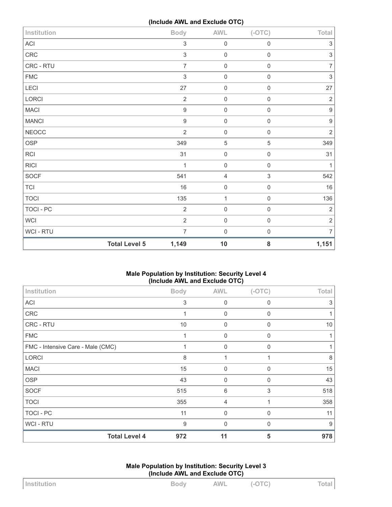**(Include AWL and Exclude OTC)**

| Institution  | . .                  | <b>Body</b>      | <b>AWL</b>     | $(-OTC)$                  | Total                     |
|--------------|----------------------|------------------|----------------|---------------------------|---------------------------|
| ACI          |                      | $\,$ 3 $\,$      | $\mathbf 0$    | $\mathbf 0$               | $\ensuremath{\mathsf{3}}$ |
| CRC          |                      | $\sqrt{3}$       | $\mathbf 0$    | $\mathbf 0$               | $\sqrt{3}$                |
| CRC - RTU    |                      | $\overline{7}$   | $\mathbf 0$    | $\mathbf 0$               | $\overline{7}$            |
| ${\sf FMC}$  |                      | $\sqrt{3}$       | $\mathbf 0$    | $\mathbf 0$               | $\mathfrak{S}$            |
| LECI         |                      | 27               | $\mathbf 0$    | $\mathbf 0$               | 27                        |
| LORCI        |                      | $\overline{2}$   | $\,0\,$        | $\mathbf 0$               | $\sqrt{2}$                |
| <b>MACI</b>  |                      | $\boldsymbol{9}$ | $\mathbf 0$    | $\mathbf 0$               | $\boldsymbol{9}$          |
| <b>MANCI</b> |                      | $\boldsymbol{9}$ | $\mathbf 0$    | $\mathsf 0$               | $\boldsymbol{9}$          |
| <b>NEOCC</b> |                      | $\overline{2}$   | $\mathbf 0$    | $\mathbf 0$               | $\overline{2}$            |
| OSP          |                      | 349              | $\sqrt{5}$     | $\mathbf 5$               | 349                       |
| <b>RCI</b>   |                      | 31               | $\mathbf 0$    | $\mathbf 0$               | 31                        |
| <b>RICI</b>  |                      | $\mathbf{1}$     | $\mathbf 0$    | $\mathbf 0$               | $\mathbf{1}$              |
| SOCF         |                      | 541              | $\overline{4}$ | $\ensuremath{\mathsf{3}}$ | 542                       |
| <b>TCI</b>   |                      | 16               | $\mathbf 0$    | $\mathbf 0$               | $16\,$                    |
| <b>TOCI</b>  |                      | 135              | $\mathbf{1}$   | $\mathbf 0$               | 136                       |
| TOCI - PC    |                      | $\overline{2}$   | $\mathbf 0$    | $\mathbf 0$               | $\sqrt{2}$                |
| WCI          |                      | $\sqrt{2}$       | $\mathbf 0$    | $\mathbf 0$               | $\sqrt{2}$                |
| WCI - RTU    |                      | $\overline{7}$   | $\mathbf 0$    | $\mathbf 0$               | $\overline{7}$            |
|              | <b>Total Level 5</b> | 1,149            | $10$           | 8                         | 1,151                     |

# **Male Population by Institution: Security Level 4 (Include AWL and Exclude OTC)**

| Institution                       | <b>Body</b> | <b>AWL</b>     | $(-OTC)$     | Total |
|-----------------------------------|-------------|----------------|--------------|-------|
| <b>ACI</b>                        | 3           | $\mathbf 0$    | $\mathbf 0$  | 3     |
| <b>CRC</b>                        |             | $\mathbf 0$    | $\mathbf 0$  |       |
| CRC - RTU                         | 10          | $\mathbf 0$    | $\Omega$     | 10    |
| <b>FMC</b>                        |             | $\mathbf 0$    | $\mathbf 0$  |       |
| FMC - Intensive Care - Male (CMC) | 1           | $\mathbf 0$    | $\Omega$     |       |
| <b>LORCI</b>                      | 8           | 1              | $\mathbf{1}$ | 8     |
| <b>MACI</b>                       | 15          | $\mathbf 0$    | 0            | 15    |
| <b>OSP</b>                        | 43          | $\mathbf 0$    | $\Omega$     | 43    |
| <b>SOCF</b>                       | 515         | 6              | 3            | 518   |
| <b>TOCI</b>                       | 355         | $\overline{4}$ |              | 358   |
| TOCI - PC                         | 11          | $\mathbf 0$    | $\Omega$     | 11    |
| <b>WCI-RTU</b>                    | 9           | $\mathbf 0$    | $\Omega$     | 9     |
| <b>Total Level 4</b>              | 972         | 11             | 5            | 978   |

**Male Population by Institution: Security Level 3 (Include AWL and Exclude OTC)**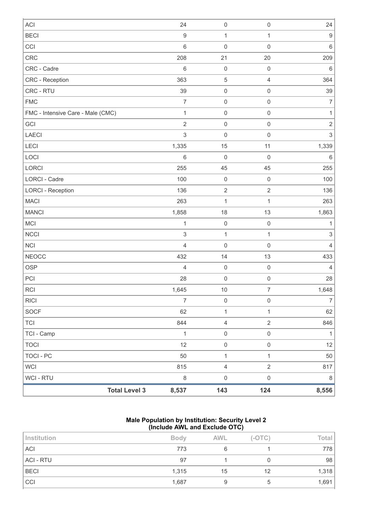| <b>ACI</b>                        |                      | 24                        | $\mathsf{O}\xspace$ | $\mathbf 0$         | 24               |
|-----------------------------------|----------------------|---------------------------|---------------------|---------------------|------------------|
| <b>BECI</b>                       |                      | $\boldsymbol{9}$          | $\mathbf{1}$        | $\mathbf{1}$        | $\boldsymbol{9}$ |
| CCI                               |                      | $\,6\,$                   | $\mathbf 0$         | $\mathbf 0$         | $\,6\,$          |
| <b>CRC</b>                        |                      | 208                       | 21                  | 20                  | 209              |
| CRC - Cadre                       |                      | $\,6\,$                   | $\mathbf 0$         | $\mathbf 0$         | $\,6\,$          |
| CRC - Reception                   |                      | 363                       | $\mathbf 5$         | $\overline{4}$      | 364              |
| CRC - RTU                         |                      | 39                        | $\mathbf 0$         | $\mathbf 0$         | 39               |
| <b>FMC</b>                        |                      | $\overline{7}$            | $\mathbf 0$         | $\mathbf 0$         | $\overline{7}$   |
| FMC - Intensive Care - Male (CMC) |                      | $\mathbf{1}$              | $\mathbf 0$         | $\mathbf 0$         | $\mathbf{1}$     |
| GCI                               |                      | $\sqrt{2}$                | $\mathbf 0$         | $\mathbf 0$         | $\sqrt{2}$       |
| <b>LAECI</b>                      |                      | $\sqrt{3}$                | $\mathbf 0$         | $\mathbf 0$         | $\mathsf 3$      |
| LECI                              |                      | 1,335                     | 15                  | 11                  | 1,339            |
| LOCI                              |                      | $\,6\,$                   | $\mathbf 0$         | $\mathbf 0$         | $\,6\,$          |
| LORCI                             |                      | 255                       | 45                  | 45                  | 255              |
| <b>LORCI - Cadre</b>              |                      | 100                       | $\mathbf 0$         | $\mathbf 0$         | 100              |
| <b>LORCI - Reception</b>          |                      | 136                       | $\sqrt{2}$          | $\sqrt{2}$          | 136              |
| <b>MACI</b>                       |                      | 263                       | $\mathbf{1}$        | $\mathbf{1}$        | 263              |
| <b>MANCI</b>                      |                      | 1,858                     | 18                  | 13                  | 1,863            |
| MCI                               |                      | $\mathbf{1}$              | $\mathbf 0$         | $\mathbf 0$         | 1                |
| <b>NCCI</b>                       |                      | $\ensuremath{\mathsf{3}}$ | $\mathbf{1}$        | $\mathbf{1}$        | $\sqrt{3}$       |
| <b>NCI</b>                        |                      | $\overline{4}$            | $\mathsf 0$         | $\mathbf 0$         | $\overline{4}$   |
| <b>NEOCC</b>                      |                      | 432                       | 14                  | 13                  | 433              |
| <b>OSP</b>                        |                      | $\overline{4}$            | $\mathbf 0$         | $\mathbf 0$         | $\overline{4}$   |
| PCI                               |                      | 28                        | $\mathbf 0$         | $\mathbf 0$         | 28               |
| <b>RCI</b>                        |                      | 1,645                     | $10$                | $\boldsymbol{7}$    | 1,648            |
| <b>RICI</b>                       |                      | $\boldsymbol{7}$          | $\mathbf 0$         | $\mathbf 0$         | $\boldsymbol{7}$ |
| <b>SOCF</b>                       |                      | 62                        | $\mathbf{1}$        | $\mathbf{1}$        | 62               |
| <b>TCI</b>                        |                      | 844                       | $\overline{4}$      | $\overline{2}$      | 846              |
| TCI - Camp                        |                      | $\mathbf{1}$              | $\mathsf{O}\xspace$ | $\mathsf{O}\xspace$ | $\mathbf{1}$     |
| <b>TOCI</b>                       |                      | 12                        | $\mathsf 0$         | $\mathsf{O}\xspace$ | 12               |
| <b>TOCI - PC</b>                  |                      | 50                        | $\mathbf{1}$        | $\mathbf{1}$        | 50               |
| <b>WCI</b>                        |                      | 815                       | $\overline{4}$      | $\overline{2}$      | 817              |
| <b>WCI-RTU</b>                    |                      | $\,8\,$                   | $\mathsf{O}\xspace$ | $\mathsf{O}\xspace$ | $\,8\,$          |
|                                   | <b>Total Level 3</b> | 8,537                     | 143                 | 124                 | 8,556            |

### **Male Population by Institution: Security Level 2 (Include AWL and Exclude OTC)**

| Institution | <b>Body</b> | <b>AWL</b> | $(-OTC)$ | Total |
|-------------|-------------|------------|----------|-------|
| <b>ACI</b>  | 773         |            |          | 778   |
| ACI - RTU   | 97          |            |          | 98    |
| <b>BECI</b> | 1,315       | 15         | 12       | 1,318 |
| CCI         | 1,687       |            |          | 1,691 |
|             |             |            |          |       |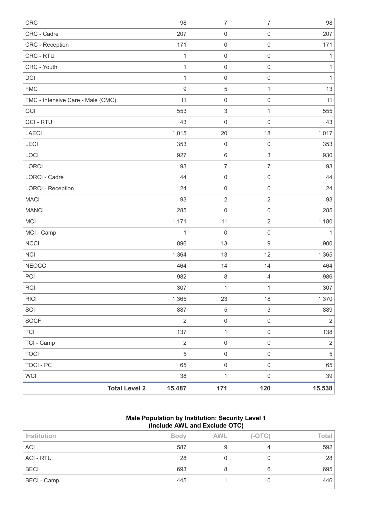| CRC                               |                      | 98               | $\boldsymbol{7}$          | $\boldsymbol{7}$          | 98           |
|-----------------------------------|----------------------|------------------|---------------------------|---------------------------|--------------|
| CRC - Cadre                       |                      | 207              | $\mathbf 0$               | $\mathbf 0$               | 207          |
| CRC - Reception                   |                      | 171              | $\mathbf 0$               | $\mathbf 0$               | 171          |
| CRC - RTU                         |                      | $\mathbf{1}$     | $\mathbf 0$               | $\mathbf 0$               | $\mathbf{1}$ |
| CRC - Youth                       |                      | $\mathbf{1}$     | $\mathbf 0$               | $\mathbf 0$               | $\mathbf{1}$ |
| DCI                               |                      | 1                | $\mathbf 0$               | $\mathbf 0$               | $\mathbf{1}$ |
| <b>FMC</b>                        |                      | $\boldsymbol{9}$ | $\sqrt{5}$                | $\mathbf{1}$              | 13           |
| FMC - Intensive Care - Male (CMC) |                      | 11               | $\mathbf 0$               | $\mathbf 0$               | 11           |
| GCI                               |                      | 553              | $\ensuremath{\mathsf{3}}$ | $\mathbf{1}$              | 555          |
| <b>GCI - RTU</b>                  |                      | 43               | $\mathbf 0$               | $\mathbf 0$               | 43           |
| LAECI                             |                      | 1,015            | 20                        | 18                        | 1,017        |
| <b>LECI</b>                       |                      | 353              | $\mathbf 0$               | $\mathbf 0$               | 353          |
| LOCI                              |                      | 927              | $\,6\,$                   | $\ensuremath{\mathsf{3}}$ | 930          |
| LORCI                             |                      | 93               | $\overline{7}$            | $\overline{7}$            | 93           |
| <b>LORCI - Cadre</b>              |                      | 44               | $\mathbf 0$               | $\mathbf 0$               | 44           |
| <b>LORCI - Reception</b>          |                      | 24               | $\mathbf 0$               | $\mathbf 0$               | 24           |
| <b>MACI</b>                       |                      | 93               | $\sqrt{2}$                | $\sqrt{2}$                | 93           |
| <b>MANCI</b>                      |                      | 285              | $\mathbf 0$               | $\mathbf 0$               | 285          |
| MCI                               |                      | 1,171            | 11                        | $\sqrt{2}$                | 1,180        |
| MCI - Camp                        |                      | $\mathbf{1}$     | $\mathbf 0$               | $\mathbf 0$               | $\mathbf{1}$ |
| <b>NCCI</b>                       |                      | 896              | 13                        | $\boldsymbol{9}$          | 900          |
| <b>NCI</b>                        |                      | 1,364            | 13                        | 12                        | 1,365        |
| <b>NEOCC</b>                      |                      | 464              | 14                        | 14                        | 464          |
| PCI                               |                      | 982              | $\,8\,$                   | $\sqrt{4}$                | 986          |
| RCI                               |                      | 307              | $\mathbf{1}$              | $\mathbf{1}$              | 307          |
| <b>RICI</b>                       |                      | 1,365            | 23                        | 18                        | 1,370        |
| SCI                               |                      | 887              | $\,$ 5 $\,$               | $\ensuremath{\mathsf{3}}$ | 889          |
| SOCF                              |                      | $\overline{2}$   | $\mathbf 0$               | $\mathbf 0$               | $\sqrt{2}$   |
| <b>TCI</b>                        |                      | 137              | $\mathbf{1}$              | $\mathbf 0$               | 138          |
| TCI - Camp                        |                      | $\sqrt{2}$       | $\mathbf 0$               | $\mathbf 0$               | $\sqrt{2}$   |
| <b>TOCI</b>                       |                      | $\sqrt{5}$       | $\mathbf 0$               | $\mathsf{O}\xspace$       | $\,$ 5 $\,$  |
| <b>TOCI - PC</b>                  |                      | 65               | $\mathbf 0$               | $\mathbf 0$               | 65           |
| <b>WCI</b>                        |                      | 38               | $\mathbf{1}$              | $\mathsf{O}\xspace$       | 39           |
|                                   | <b>Total Level 2</b> | 15,487           | 171                       | 120                       | 15,538       |

### **Male Population by Institution: Security Level 1 (Include AWL and Exclude OTC)**

| Institution      | <b>Body</b> | <b>AWL</b> | $(-OTC)$ | Total |
|------------------|-------------|------------|----------|-------|
| <b>ACI</b>       | 587         |            |          | 592   |
| <b>ACI - RTU</b> | 28          |            |          | 28    |
| <b>BECI</b>      | 693         |            | 6        | 695   |
| BECI - Camp      | 445         |            | υ        | 446   |
|                  |             |            |          |       |